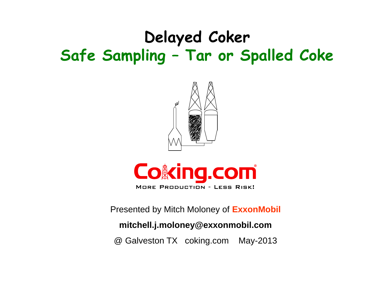# **Delayed Coker Safe Sampling – Tar or Spalled Coke**





Presented by Mitch Moloney of **ExxonMobil**

#### **mitchell.j.moloney@exxonmobil.com**

@ Galveston TX coking.com May-2013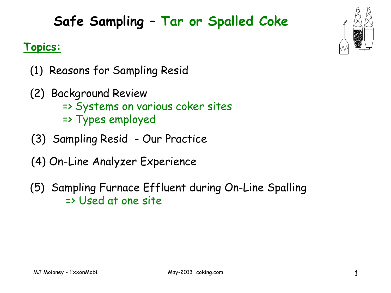## **Safe Sampling – Tar or Spalled Coke**

#### **Topics:**

- (1) Reasons for Sampling Resid
- (2) Background Review => Systems on various coker sites => Types employed
- (3) Sampling Resid Our Practice
- (4) On-Line Analyzer Experience
- (5) Sampling Furnace Effluent during On-Line Spalling => Used at one site



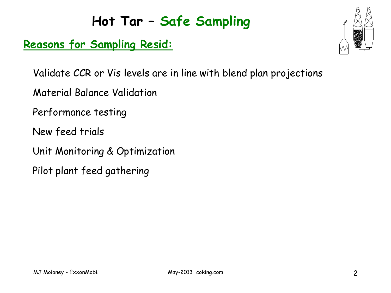#### **Reasons for Sampling Resid:**



Validate CCR or Vis levels are in line with blend plan projections

Material Balance Validation

Performance testing

New feed trials

Unit Monitoring & Optimization

Pilot plant feed gathering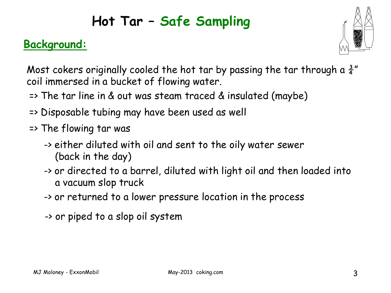#### **Background:**



Most cokers originally cooled the hot tar by passing the tar through a  $\frac{3}{4}$ " coil immersed in a bucket of flowing water.

- => The tar line in & out was steam traced & insulated (maybe)
- => Disposable tubing may have been used as well
- => The flowing tar was
	- -> either diluted with oil and sent to the oily water sewer (back in the day)
	- -> or directed to a barrel, diluted with light oil and then loaded into a vacuum slop truck
	- -> or returned to a lower pressure location in the process
	- -> or piped to a slop oil system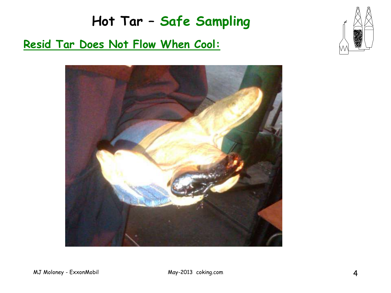# **Hot Tar – Safe Sampling Resid Tar Does Not Flow When Cool:**



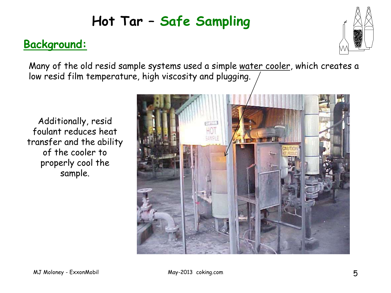#### **Background:**



Many of the old resid sample systems used a simple water cooler, which creates a low resid film temperature, high viscosity and plugging.

Additionally, resid foulant reduces heat transfer and the ability of the cooler to properly cool the sample.

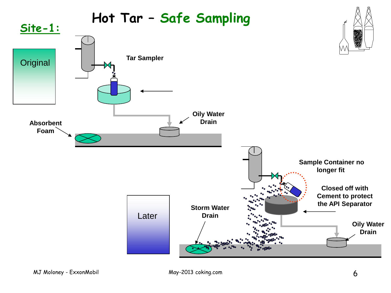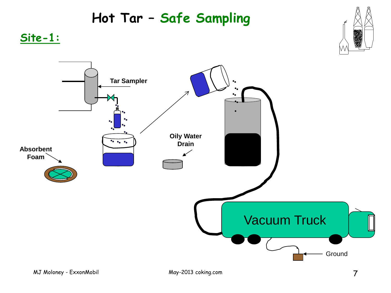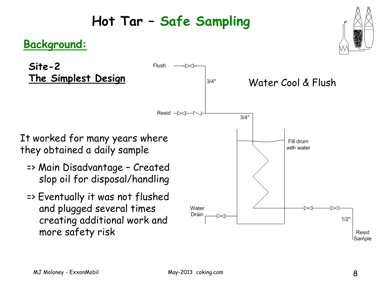Resid  $\rightarrow \rightarrow +$ 

Flush

#### **Background:**

**Site-2 The Simplest Design**

It worked for many years where they obtained a daily sample

- => Main Disadvantage Created slop oil for disposal/handling
- => Eventually it was not flushed and plugged several times creating additional work and more safety risk



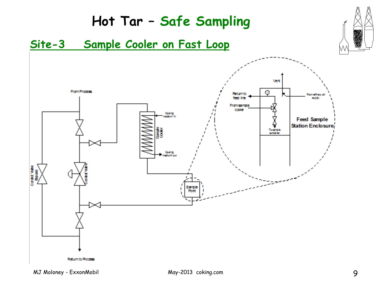#### **Hot Tar – Safe Sampling Site-3 Sample Cooler on Fast Loop**Vert From Process  $\odot$ Returnto **Consultation** fed Ire e cov Fromsample coder Coding sadum<sup>2</sup> in **Feed Sample**  $\frac{\Delta}{\Omega}$ Station Enclosure consinue Cooling<br>Netformous Conta Valve<br>Bipas í Sample<br>Rolft  $\mathbf{I}$ Return to Process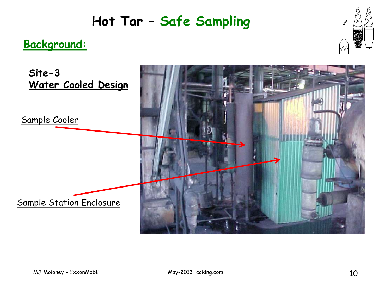#### **Background:**



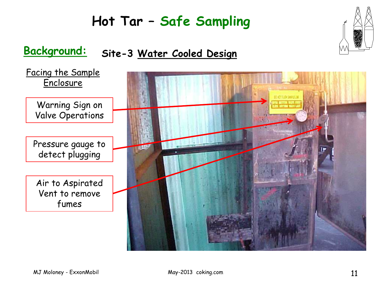#### **Background: Site-3 Water Cooled Design**

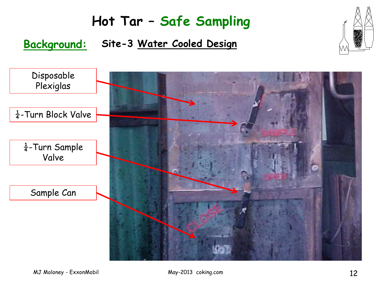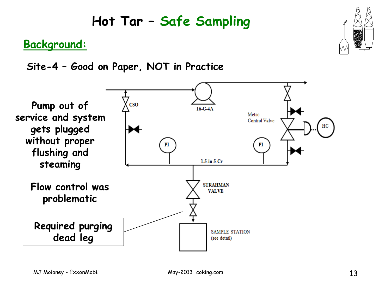

#### **Background:**

**Site-4 – Good on Paper, NOT in Practice**

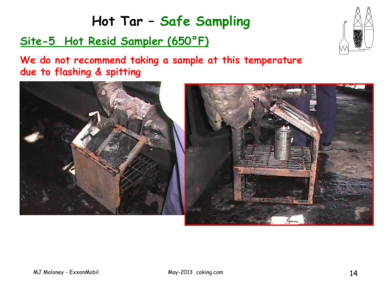#### **Site-5 Hot Resid Sampler (650°F)**



**We do not recommend taking a sample at this temperature due to flashing & spitting**

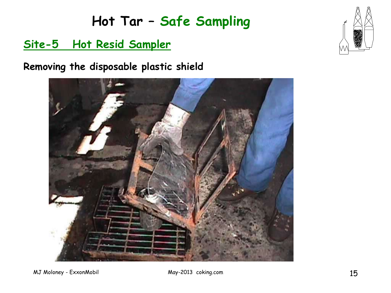#### **Site-5 Hot Resid Sampler**

**Removing the disposable plastic shield**



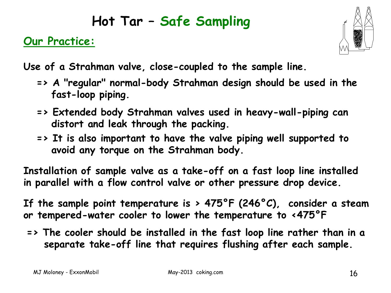#### **Our Practice:**



**Use of a Strahman valve, close-coupled to the sample line.** 

- **=> A "regular" normal-body Strahman design should be used in the fast-loop piping.**
- **=> Extended body Strahman valves used in heavy-wall-piping can distort and leak through the packing.**
- **=> It is also important to have the valve piping well supported to avoid any torque on the Strahman body.**

**Installation of sample valve as a take-off on a fast loop line installed in parallel with a flow control valve or other pressure drop device.**

**If the sample point temperature is > 475°F (246°C), consider a steam or tempered-water cooler to lower the temperature to <475°F**

**=> The cooler should be installed in the fast loop line rather than in a separate take-off line that requires flushing after each sample.**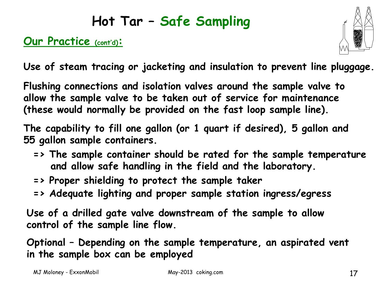#### **Our Practice (cont'd):**



**Use of steam tracing or jacketing and insulation to prevent line pluggage.**

**Flushing connections and isolation valves around the sample valve to allow the sample valve to be taken out of service for maintenance (these would normally be provided on the fast loop sample line).**

**The capability to fill one gallon (or 1 quart if desired), 5 gallon and 55 gallon sample containers.**

- **=> The sample container should be rated for the sample temperature and allow safe handling in the field and the laboratory.**
- **=> Proper shielding to protect the sample taker**
- **=> Adequate lighting and proper sample station ingress/egress**

**Use of a drilled gate valve downstream of the sample to allow control of the sample line flow.**

**Optional – Depending on the sample temperature, an aspirated vent in the sample box can be employed**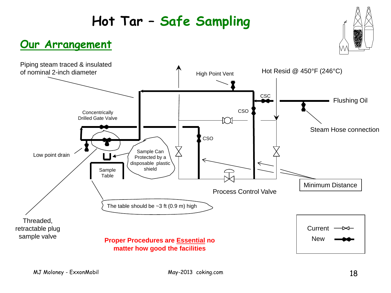#### **Our Arrangement**



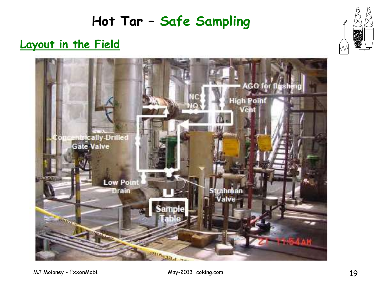#### **Layout in the Field**

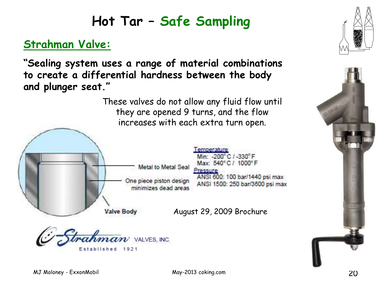#### **Strahman Valve:**

**"Sealing system uses a range of material combinations to create a differential hardness between the body and plunger seat."**

> These valves do not allow any fluid flow until they are opened 9 turns, and the flow increases with each extra turn open.



emperature Min: -200°C / -330°F Max: 540°C / 1000°F Pressure ANSI 600: 100 bar/1440 psi max ANSI 1500: 250 bar/3600 psi max

August 29, 2009 Brochure





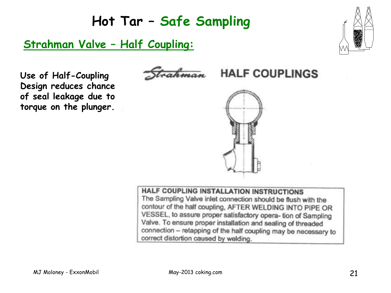#### **Strahman Valve – Half Coupling:**



**Use of Half-Coupling Design reduces chance of seal leakage due to torque on the plunger.**



**HALF COUPLINGS** 



**HALF COUPLING INSTALLATION INSTRUCTIONS** The Sampling Valve inlet connection should be flush with the contour of the half coupling, AFTER WELDING INTO PIPE OR VESSEL, to assure proper satisfactory opera- tion of Sampling Valve. To ensure proper installation and sealing of threaded connection - retapping of the half coupling may be necessary to correct distortion caused by welding.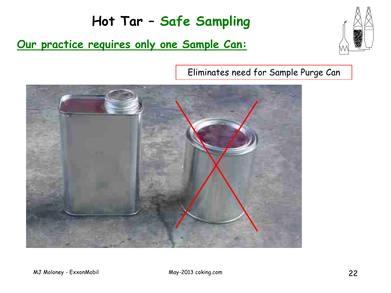#### **Our practice requires only one Sample Can:**



Eliminates need for Sample Purge Can

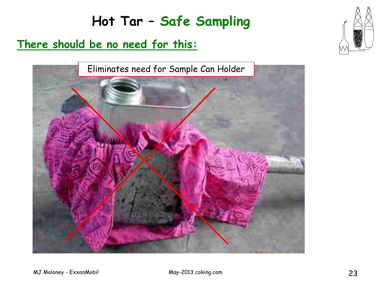#### **There should be no need for this:**



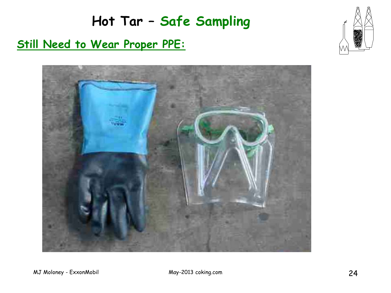

# **Hot Tar – Safe Sampling Still Need to Wear Proper PPE:**

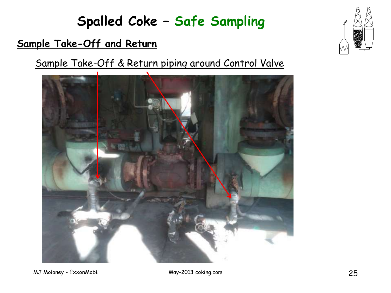#### **Spalled Coke – Safe Sampling**

#### **Sample Take-Off and Return**

Sample Take-Off & Return piping around Control Valve





MJ Moloney - ExxonMobil May-2013 coking.com 25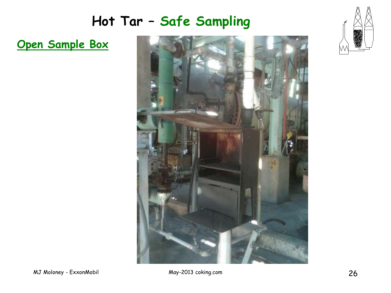**Open Sample Box** 





MJ Moloney - ExxonMobil 26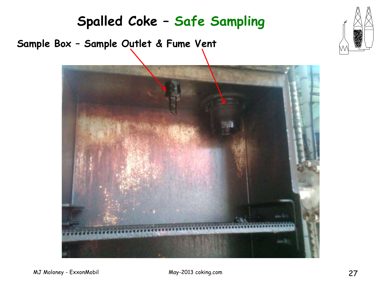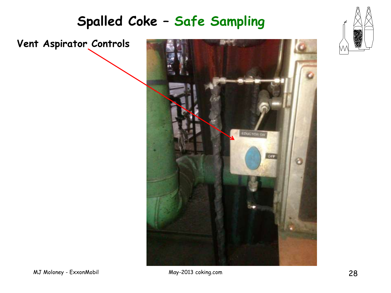

#### **Spalled Coke – Safe Sampling**

**Vent Aspirator Controls**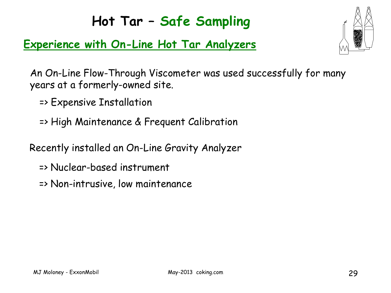#### **Experience with On-Line Hot Tar Analyzers**



An On-Line Flow-Through Viscometer was used successfully for many years at a formerly-owned site.

- => Expensive Installation
- => High Maintenance & Frequent Calibration
- Recently installed an On-Line Gravity Analyzer
	- => Nuclear-based instrument
	- => Non-intrusive, low maintenance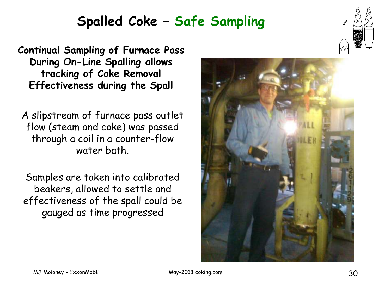#### **Spalled Coke – Safe Sampling**

**Continual Sampling of Furnace Pass During On-Line Spalling allows tracking of Coke Removal Effectiveness during the Spall**

A slipstream of furnace pass outlet flow (steam and coke) was passed through a coil in a counter-flow water bath.

Samples are taken into calibrated beakers, allowed to settle and effectiveness of the spall could be gauged as time progressed



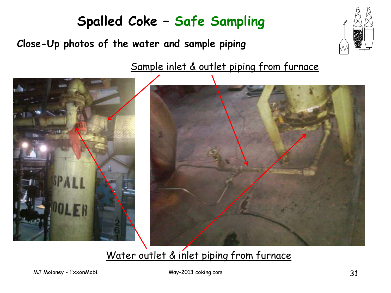## **Spalled Coke – Safe Sampling**

**Close-Up photos of the water and sample piping**

Sample inlet & outlet piping from furnace



#### Water outlet & inlet piping from furnace